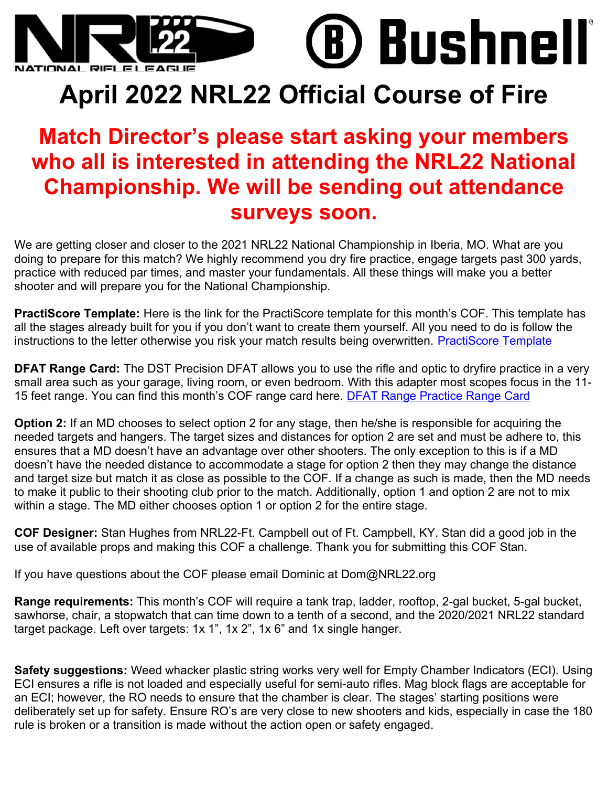

) Bushnell

## **April 2022 NRL22 Official Course of Fire**

## **Match Director's please start asking your members who all is interested in attending the NRL22 National Championship. We will be sending out attendance surveys soon.**

We are getting closer and closer to the 2021 NRL22 National Championship in Iberia, MO. What are you doing to prepare for this match? We highly recommend you dry fire practice, engage targets past 300 yards, practice with reduced par times, and master your fundamentals. All these things will make you a better shooter and will prepare you for the National Championship.

**PractiScore Template:** Here is the link for the PractiScore template for this month's COF. This template has all the stages already built for you if you don't want to create them yourself. All you need to do is follow the instructions to the letter otherwise you risk your match results being overwritten. [PractiScore Template](https://drive.google.com/file/d/1IPZ7pkXck2nnEqGrzQmflj6aSYhwNH2_/view?fbclid=IwAR3_0mmPYjO02qV2Brlp6E-wkoSRp8nzZ2z4LZur_b6Pvx6K3y20Cnhb9ZA)

**DFAT Range Card:** The DST Precision DFAT allows you to use the rifle and optic to dryfire practice in a very small area such as your garage, living room, or even bedroom. With this adapter most scopes focus in the 11- 15 feet range. You can find this month's COF range card here. [DFAT Range Practice Range Card](https://drive.google.com/drive/folders/1MdASnI9rx_gH1iB77JyrIv0mgkZE_T7M?fbclid=IwAR3y7bi7avl4NMEGNMsAh6geEsmvLf6XYs8im1haS1MKp-75_UUxEhqzVxk)

**Option 2:** If an MD chooses to select option 2 for any stage, then he/she is responsible for acquiring the needed targets and hangers. The target sizes and distances for option 2 are set and must be adhere to, this ensures that a MD doesn't have an advantage over other shooters. The only exception to this is if a MD doesn't have the needed distance to accommodate a stage for option 2 then they may change the distance and target size but match it as close as possible to the COF. If a change as such is made, then the MD needs to make it public to their shooting club prior to the match. Additionally, option 1 and option 2 are not to mix within a stage. The MD either chooses option 1 or option 2 for the entire stage.

**COF Designer:** Stan Hughes from NRL22-Ft. Campbell out of Ft. Campbell, KY. Stan did a good job in the use of available props and making this COF a challenge. Thank you for submitting this COF Stan.

If you have questions about the COF please email Dominic at Dom@NRL22.org

**Range requirements:** This month's COF will require a tank trap, ladder, rooftop, 2-gal bucket, 5-gal bucket, sawhorse, chair, a stopwatch that can time down to a tenth of a second, and the 2020/2021 NRL22 standard target package. Left over targets: 1x 1", 1x 2", 1x 6" and 1x single hanger.

**Safety suggestions:** Weed whacker plastic string works very well for Empty Chamber Indicators (ECI). Using ECI ensures a rifle is not loaded and especially useful for semi-auto rifles. Mag block flags are acceptable for an ECI; however, the RO needs to ensure that the chamber is clear. The stages' starting positions were deliberately set up for safety. Ensure RO's are very close to new shooters and kids, especially in case the 180 rule is broken or a transition is made without the action open or safety engaged.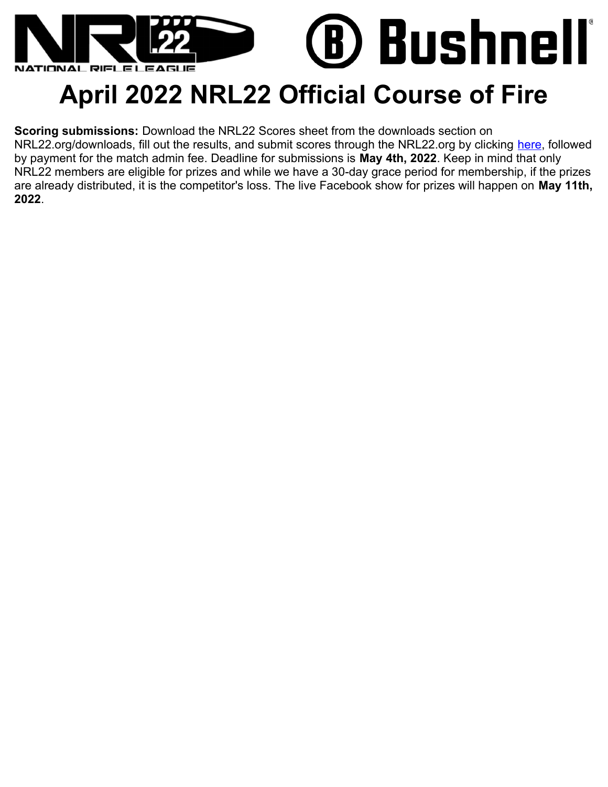

## **April 2022 NRL22 Official Course of Fire**

**Scoring submissions:** Download the NRL22 Scores sheet from the downloads section on NRL22.org/downloads, fill out the results, and submit scores through the NRL22.org by clicking [here,](https://nationalrifleleague.org/shop/nrl22-monthly-cof-score-submission/) followed by payment for the match admin fee. Deadline for submissions is **May 4th, 2022**. Keep in mind that only NRL22 members are eligible for prizes and while we have a 30-day grace period for membership, if the prizes are already distributed, it is the competitor's loss. The live Facebook show for prizes will happen on **May 11th, 2022**.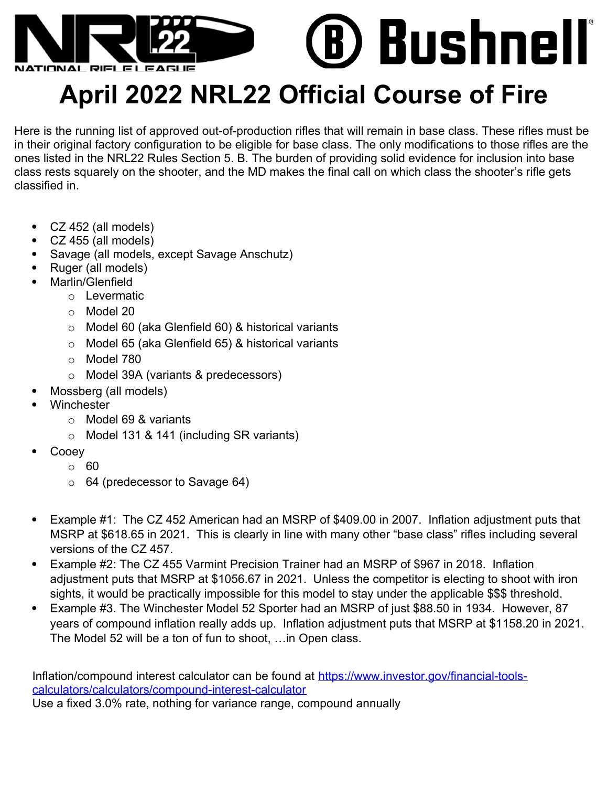

## **April 2022 NRL22 Official Course of Fire**

Here is the running list of approved out-of-production rifles that will remain in base class. These rifles must be in their original factory configuration to be eligible for base class. The only modifications to those rifles are the ones listed in the NRL22 Rules Section 5. B. The burden of providing solid evidence for inclusion into base class rests squarely on the shooter, and the MD makes the final call on which class the shooter's rifle gets classified in.

- CZ 452 (all models)
- CZ 455 (all models)
- Savage (all models, except Savage Anschutz)
- Ruger (all models)
- Marlin/Glenfield
	- o Levermatic
	- o Model 20
	- o Model 60 (aka Glenfield 60) & historical variants
	- o Model 65 (aka Glenfield 65) & historical variants
	- o Model 780
	- o Model 39A (variants & predecessors)
	- Mossberg (all models)
- **Winchester** 
	- o Model 69 & variants
	- o Model 131 & 141 (including SR variants)
- Cooey
	- o 60
	- $\circ$  64 (predecessor to Savage 64)
- Example #1: The CZ 452 American had an MSRP of \$409.00 in 2007. Inflation adjustment puts that MSRP at \$618.65 in 2021. This is clearly in line with many other "base class" rifles including several versions of the CZ 457.
- Example #2: The CZ 455 Varmint Precision Trainer had an MSRP of \$967 in 2018. Inflation adjustment puts that MSRP at \$1056.67 in 2021. Unless the competitor is electing to shoot with iron sights, it would be practically impossible for this model to stay under the applicable \$\$\$ threshold.
- Example #3. The Winchester Model 52 Sporter had an MSRP of just \$88.50 in 1934. However, 87 years of compound inflation really adds up. Inflation adjustment puts that MSRP at \$1158.20 in 2021. The Model 52 will be a ton of fun to shoot, …in Open class.

Inflation/compound interest calculator can be found at [https://www.investor.gov/financial-tools](https://www.investor.gov/financial-tools-calculators/calculators/compound-interest-calculator)[calculators/calculators/compound-interest-calculator](https://www.investor.gov/financial-tools-calculators/calculators/compound-interest-calculator) Use a fixed 3.0% rate, nothing for variance range, compound annually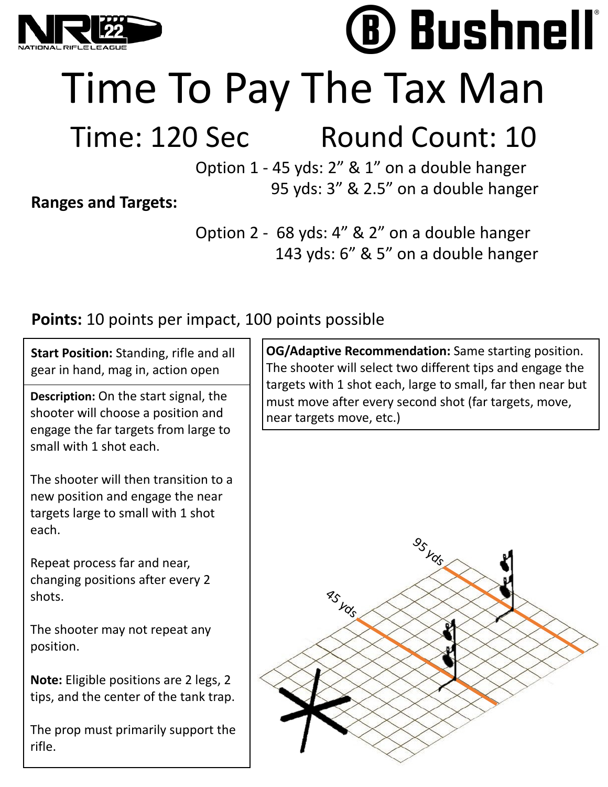

# Time To Pay The Tax Man

## Time: 120 Sec Round Count: 10

**Bushnell** 

Option 1 - 45 yds: 2" & 1" on a double hanger 95 yds: 3" & 2.5" on a double hanger

**Ranges and Targets:**

Option 2 - 68 yds: 4" & 2" on a double hanger 143 yds: 6" & 5" on a double hanger

### **Points:** 10 points per impact, 100 points possible

**Start Position:** Standing, rifle and all gear in hand, mag in, action open

**Description:** On the start signal, the shooter will choose a position and engage the far targets from large to small with 1 shot each.

The shooter will then transition to a new position and engage the near targets large to small with 1 shot each.

Repeat process far and near, changing positions after every 2 shots.

The shooter may not repeat any position.

**Note:** Eligible positions are 2 legs, 2 tips, and the center of the tank trap.

The prop must primarily support the rifle.

**OG/Adaptive Recommendation:** Same starting position. The shooter will select two different tips and engage the targets with 1 shot each, large to small, far then near but must move after every second shot (far targets, move, near targets move, etc.)

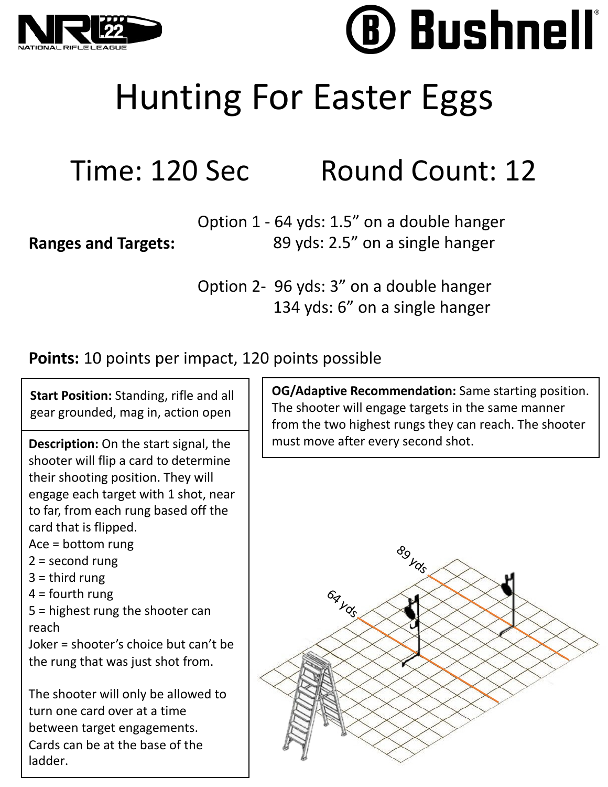

**Ranges and Targets:**

# **Bushnell**

# Hunting For Easter Eggs

## Time: 120 Sec Round Count: 12

Option 1 - 64 yds: 1.5" on a double hanger 89 yds: 2.5" on a single hanger

Option 2- 96 yds: 3" on a double hanger 134 yds: 6" on a single hanger

### **Points:** 10 points per impact, 120 points possible

**Start Position:** Standing, rifle and all gear grounded, mag in, action open

**Description:** On the start signal, the shooter will flip a card to determine their shooting position. They will engage each target with 1 shot, near to far, from each rung based off the card that is flipped.

Ace = bottom rung

- 2 = second rung
- $3 =$  third rung
- $4 =$  fourth rung

5 = highest rung the shooter can reach

Joker = shooter's choice but can't be the rung that was just shot from.

The shooter will only be allowed to turn one card over at a time between target engagements. Cards can be at the base of the ladder.

**OG/Adaptive Recommendation:** Same starting position. The shooter will engage targets in the same manner from the two highest rungs they can reach. The shooter must move after every second shot.

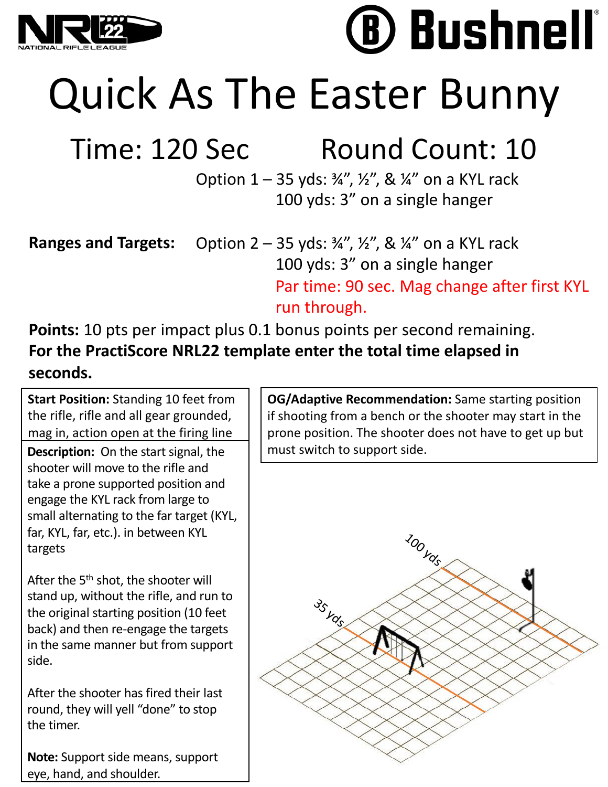

# **Bushnell**

Quick As The Easter Bunny

## Time: 120 Sec Round Count: 10

Option  $1 - 35$  yds:  $\frac{3}{4}$ ,  $\frac{1}{2}$ , &  $\frac{1}{4}$  on a KYL rack 100 yds: 3" on a single hanger

**Ranges and Targets:** Option  $2 - 35$  yds:  $\frac{3}{4}$ ,  $\frac{1}{2}$ , &  $\frac{1}{4}$  on a KYL rack 100 yds: 3" on a single hanger Par time: 90 sec. Mag change after first KYL run through.

**Points:** 10 pts per impact plus 0.1 bonus points per second remaining. **For the PractiScore NRL22 template enter the total time elapsed in seconds.**

**Start Position:** Standing 10 feet from the rifle, rifle and all gear grounded, mag in, action open at the firing line

**Description:** On the start signal, the shooter will move to the rifle and take a prone supported position and engage the KYL rack from large to small alternating to the far target (KYL, far, KYL, far, etc.). in between KYL targets

After the 5<sup>th</sup> shot, the shooter will stand up, without the rifle, and run to the original starting position (10 feet back) and then re-engage the targets in the same manner but from support side.

After the shooter has fired their last round, they will yell "done" to stop the timer.

**Note:** Support side means, support eye, hand, and shoulder.

**OG/Adaptive Recommendation:** Same starting position if shooting from a bench or the shooter may start in the prone position. The shooter does not have to get up but must switch to support side.

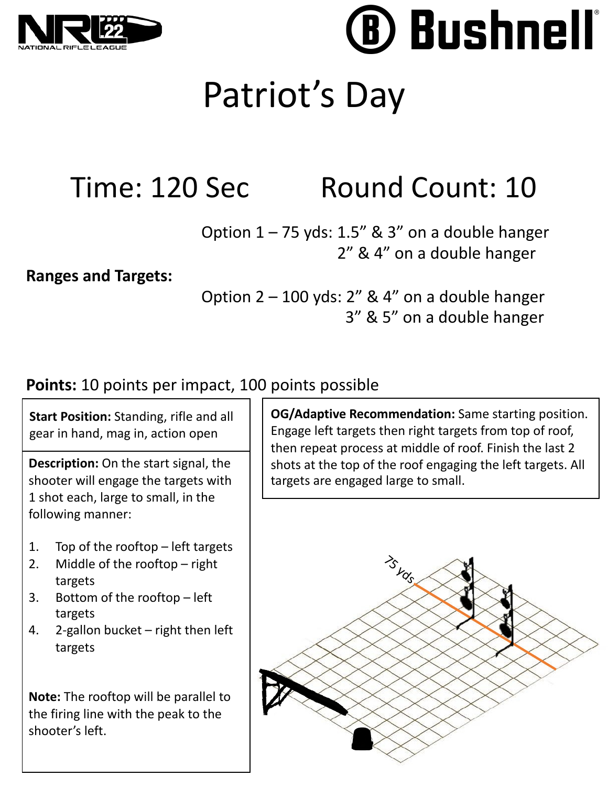

**Bushnell** 

## Patriot's Day

## Time: 120 Sec Round Count: 10

Option  $1 - 75$  yds: 1.5" & 3" on a double hanger 2" & 4" on a double hanger

### **Ranges and Targets:**

Option 2 – 100 yds: 2" & 4" on a double hanger 3" & 5" on a double hanger

### **Points:** 10 points per impact, 100 points possible

**Start Position:** Standing, rifle and all gear in hand, mag in, action open

**Description:** On the start signal, the shooter will engage the targets with 1 shot each, large to small, in the following manner:

- 1. Top of the rooftop left targets
- 2. Middle of the rooftop right targets
- 3. Bottom of the rooftop left targets
- 4. 2-gallon bucket right then left targets

**Note:** The rooftop will be parallel to the firing line with the peak to the shooter's left.

**OG/Adaptive Recommendation:** Same starting position. Engage left targets then right targets from top of roof, then repeat process at middle of roof. Finish the last 2 shots at the top of the roof engaging the left targets. All targets are engaged large to small.